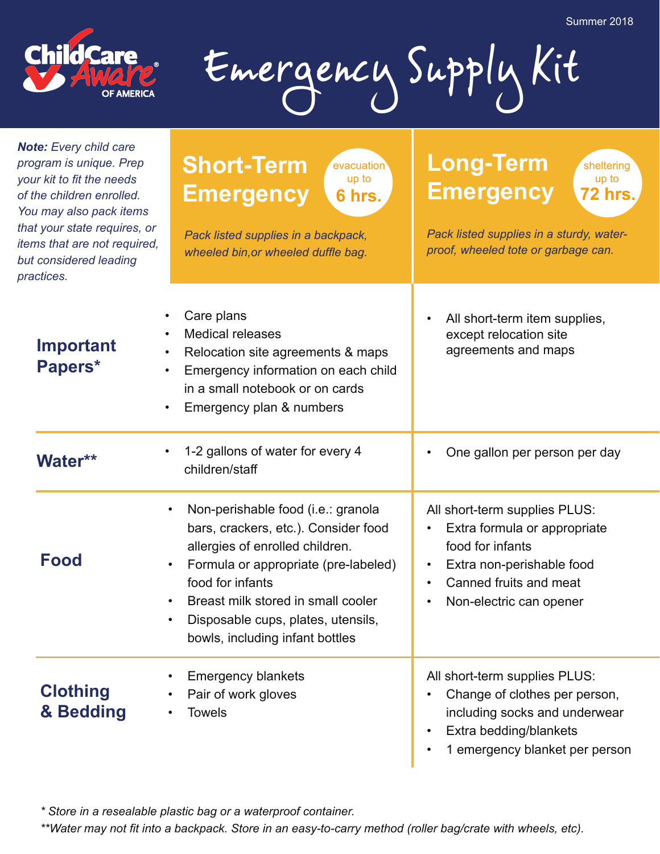**72 hrs.**

sheltering up to



Emergency Supply Kit

*Note: Every child care program is unique. Prep your kit to fit the needs of the children enrolled. You may also pack items that your state requires, or items that are not required, but considered leading practices.*

## **Short-Term Emergency** *Pack listed supplies in a sturdy, waterproof, wheeled tote or garbage can. Pack listed supplies in a backpack, wheeled bin,or wheeled duffle bag.* **6 hrs.** evacuation up to **Long-Term Emergency**

| <b>Important</b><br>Papers*  | Care plans<br><b>Medical releases</b><br>Relocation site agreements & maps<br>Emergency information on each child<br>$\bullet$<br>in a small notebook or on cards<br>Emergency plan & numbers                                                                                                                                   | All short-term item supplies,<br>$\bullet$<br>except relocation site<br>agreements and maps                                                                                                   |
|------------------------------|---------------------------------------------------------------------------------------------------------------------------------------------------------------------------------------------------------------------------------------------------------------------------------------------------------------------------------|-----------------------------------------------------------------------------------------------------------------------------------------------------------------------------------------------|
| <b>Water**</b>               | 1-2 gallons of water for every 4<br>children/staff                                                                                                                                                                                                                                                                              | One gallon per person per day                                                                                                                                                                 |
| Food                         | Non-perishable food (i.e.: granola<br>bars, crackers, etc.). Consider food<br>allergies of enrolled children.<br>Formula or appropriate (pre-labeled)<br>$\bullet$<br>food for infants<br>Breast milk stored in small cooler<br>$\bullet$<br>Disposable cups, plates, utensils,<br>$\bullet$<br>bowls, including infant bottles | All short-term supplies PLUS:<br>Extra formula or appropriate<br>food for infants<br>Extra non-perishable food<br>$\bullet$<br>Canned fruits and meat<br>$\bullet$<br>Non-electric can opener |
| <b>Clothing</b><br>& Bedding | <b>Emergency blankets</b><br>Pair of work gloves<br><b>Towels</b>                                                                                                                                                                                                                                                               | All short-term supplies PLUS:<br>Change of clothes per person,<br>including socks and underwear<br>Extra bedding/blankets                                                                     |

1 emergency blanket per person

*\* Store in a resealable plastic bag or a waterproof container.*

*\*\*Water may not fit into a backpack. Store in an easy-to-carry method (roller bag/crate with wheels, etc).*